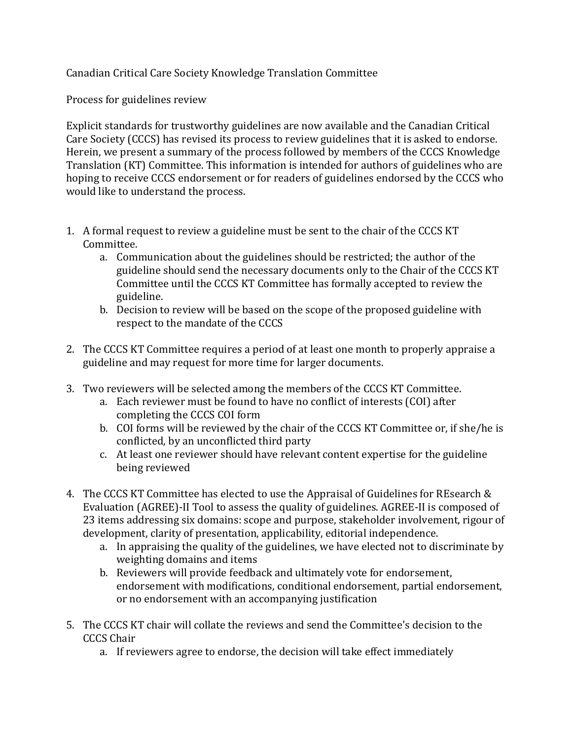Canadian Critical Care Society Knowledge Translation Committee

Process for guidelines review

Explicit standards for trustworthy guidelines are now available and the Canadian Critical Care Society (CCCS) has revised its process to review guidelines that it is asked to endorse. Herein, we present a summary of the process followed by members of the CCCS Knowledge Translation (KT) Committee. This information is intended for authors of guidelines who are hoping to receive CCCS endorsement or for readers of guidelines endorsed by the CCCS who would like to understand the process.

- 1. A formal request to review a guideline must be sent to the chair of the CCCS KT Committee.
	- a. Communication about the guidelines should be restricted; the author of the guideline should send the necessary documents only to the Chair of the CCCS KT Committee until the CCCS KT Committee has formally accepted to review the guideline.
	- b. Decision to review will be based on the scope of the proposed guideline with respect to the mandate of the CCCS
- 2. The CCCS KT Committee requires a period of at least one month to properly appraise a guideline and may request for more time for larger documents.
- 3. Two reviewers will be selected among the members of the CCCS KT Committee.
	- a. Each reviewer must be found to have no conflict of interests (COI) after completing the CCCS COI form
	- b. COI forms will be reviewed by the chair of the CCCS KT Committee or, if she/he is conflicted, by an unconflicted third party
	- c. At least one reviewer should have relevant content expertise for the guideline being reviewed
- 4. The CCCS KT Committee has elected to use the Appraisal of Guidelines for REsearch & Evaluation (AGREE)-II Tool to assess the quality of guidelines. AGREE-II is composed of 23 items addressing six domains: scope and purpose, stakeholder involvement, rigour of development, clarity of presentation, applicability, editorial independence.
	- a. In appraising the quality of the guidelines, we have elected not to discriminate by weighting domains and items
	- b. Reviewers will provide feedback and ultimately vote for endorsement, endorsement with modifications, conditional endorsement, partial endorsement, or no endorsement with an accompanying justification
- 5. The CCCS KT chair will collate the reviews and send the Committee's decision to the CCCS Chair
	- a. If reviewers agree to endorse, the decision will take effect immediately